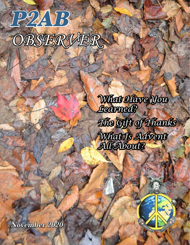# P2AB *OBSERVER*

*What Have You Learned? The Gift of Thanks What Is Advent All About?*

November 2020

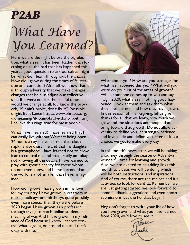# P2AB *What Have You Learned?*

Here we are the night before the big election, what a year it has been. Rather than focusing on all the bad that has happened this year; a good question to ask ourselves might be, what did I learn throughout the chaos? How did I grow during the times of frustration and confusion? After all we know that it is through adversity that we make changes; changes that help us adjust our collective sails. If it were not for the painful times, would we change at all. You know the proverb, "If it ain't broke, don't fix it," (possible origin; Bert Lance https://www.phrases.org. uk/meanings/if-it-aint-broke-dont-fix-it.html), I believe this rings true for most people.

What have I learned? I have learned that I can easily live without Walmart being open 24 hours a day. I have learned that cloth napkins work just fine and that my daughter is a germaphobe. I have learned not to allow fear to control me and that I really am okay not knowing all the details. I have learned to pray with great sincerity for those whom I do not even know, and I have learned that the world is a lot smaller than I ever imagined.

How did I grow? I have grown in my love for my country. I have grown in creativity in making holidays, and birthdays quite possibly even more special than they were before 2020 began. I have grown as a professor through trying to reach online students in a meaningful way. And I have grown in my reliance of God because I know I cannot control what is going on around me, and that's okay with me.

What about you? How are you stronger for what has happened this year? What will you write on your list of the areas of growth? When someone comes up to you and says, "Ugh, 2020, what a year, nothing good happened!" look at them and ask them what they have learned and how they have grown. In this season of Thanksgiving, let us give thanks for all that we learn, how much we grow and the situations and people that bring toward that growth. Do not allow adversity to define you, let strength, patience and love guide and define you, after all it is a choice, we get to make every day.

In this month's newsletter, we will be taking a journey through the season of Advent–a wonderful time for learning and growth. Also, we are excited to be adding links this month to videos we will be doing which will be both instructional and inspirational. And of course, there are the recipes and fun activities to look forward to. Remember we are just getting started, we look forward to some feedback, suggestions and even photo submissions. Let the holidays begin!!

Hey, don't forget to write your list of how you have grown and what you have learned from 2020, we'd love to see it.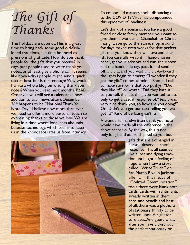## *The Gift of Thanks*

The holidays are upon us. This is a great time to bring back some good old-fashioned traditions, like time honored expressions of gratitude. How do you thank people for the gifts that you receive? In days past people used to write thank you notes, or at least give a phone call. It seems like now-a-days people might send a quick text at best, but is that enough? Why would I write a whole blog on writing thank you notes? When you read next month's P2AB Observer, you will see a calendar (a new addition to each newsletter); December 26<sup>th</sup> happens to be, "National Thank You Note Day." I believe now more than ever; we need to offer a more personal touch to expressing thanks to those we love. We are living in a time where loneliness abounds because technology, which seems to keep us in the know; separates us from intimacy.

To compound matters social distancing due to the COVID-19 Virus has compounded this epidemic of loneliness.

Let's think of a scenario: You have a good friend or close family member; you want to give them a wonderful Chanukah or Christmas gift; you go to the store, shop around for days maybe even weeks for that perfect gift that you know they will love and cherish. You carefully wrap it in hand-chosen paper, get your scissors and curl the ribbon add the handmade tag, pack it and send it off……….. and you wait……… Awkward thoughts begin to emerge; "I wonder if they got the gift," comes to mind. "Should I call to make sure, or is that too pushy?" "Did they like it?" or worse, "Did they hate it?" so you call; the last thing you wanted to do, only to get a casual response of, "Yes, it was very nice thank you, so how are you doing?" Or "Didn't you get our text telling you we got it?" Kind of deflating isn't it?

A wonderful handwritten thank you note would have made all the difference in the above scenario. By the way, this is not only for gifts that are shipped to you but



gifts that are exchanged in person deserve a special response. This all seemed like a lost and dying tradition until I got a feeling of hope when I saw a store called, "Write Touch," on San Marco Blvd in Jacksonville FL. In this mecca of "Civilized Communication," tools there were blank note cards, cards with sentiments already written in them, pens, and pencils and best of all, there was a plethora of stationary thirsty to be written upon. A sight for sore eyes. And guess what, after you have picked out the perfect stationary or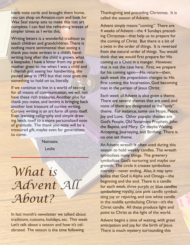blank note cards and brought them home, you can shop on Amazon.com and look for Wax Seal stamp sets to make this lost art complete. I can feel the refreshing breeze of simpler times as I write this.

Writing letters is a wonderful tradition to teach children and grandchildren. There is nothing more sentimental than seeing a thank you note written in a child's handwriting long after the child is grown, what a keepsake. I have a letter from my grandmother given to me when I was a child and I cherish just seeing her handwriting, she passed away in 1993 but that note gives me something to hold on to, literally.

If we continue to live in a world of texting for all means of communication, we will not have these rich treasures. Another plus for thank you notes, and letters is bringing back another lost treasure of cursive writing. Cursive writing is an art form all unto itself. Even learning calligraphy and simple drawing lends itself to a more personalized note of gratitude. The thank you note will be a treasured gift, maybe even for generations to come.

Namaste,

Leslie

### *What is Advent All About?*

In last month's newsletter we talked about traditions, customs, holidays, etc. This week Let's talk about a season and how it's celebrated. The season is the time following

Thanksgiving and preceding Christmas. It is called the season of Advent.

Advent simply means "coming." There are 4 weeks of Advent—the 4 Sundays preceding Christmas—that help us to prepare for the coming of Christ. But there is a bit of a twist in the order of things. It is reversed from the natural order of things. You would think that we would first prepare for His coming as a Child in a manger. However, that is not the case here. First, we prepare for his coming again—His return—then, each week the preparation changes to His first coming, the Incarnation, God becoming man in the person of Jesus Christ.

Each week of Advent is also given a theme. There are several themes that are used, and none of them are designated as the "only" theme. For instance, some use Hope, Peace, Joy and Love. Other popular themes are God's People, Old Testament Prophets, John the Baptist, and Mary. Or maybe Waiting, Accepting, Journeying, and Birthing. There is no one set theme.

An Advent wreath is often used during this season to hold weekly candles. The wreath symbolizes many things. The greenery symbolizes God's nurturing and maybe our growth. The circle it creates symbolizes eternity—never ending. Also, it may symbolize that God is Alpha and Omega—the beginning and the end. There is a candle for each week, three purple or blue candles symbolizing royalty, one pink candle symbolizing joy or rejoicing, and one white candle in the middle symbolizing Christ—it's the Christ candle. All these produce light and point to Christ as the light of the world.

Advent begins a time of waiting, with great anticipation and joy, for the birth of Jesus. There is much mystery surrounding this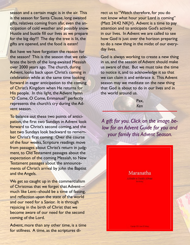season and a certain magic is in the air. This is the season for Santa Clause, long awaited gifts, relatives coming from afar, even the anticipation of cold weather and possibly snow. Hustle and bustle fill our lives as we prepare for the big day!!! The day the tree is lit, the gifts are opened, and the food is eaten!

But have we have forgotten the reason for the season? This is the season that we celebrate the birth of the long-awaited Messiah over 2000 years ago. The church, during Advent, looks back upon Christ's coming in celebration while at the same time looking forward in eager anticipation to the coming of Christ's Kingdom when He returns for His people. In this light, the Advent hymn "O Come, O Come, Emmanuel" perfectly represents the church's cry during the Advent season.

To balance out these two points of anticipation, the first two Sundays in Advent look forward to Christ's second coming, and the last two Sundays look backward to remember Christ's first coming. Over the course of the four weeks, Scripture readings move from passages about Christ's return in judgment, to Old Testament passages about the expectation of the coming Messiah, to New Testament passages about the announcements of Christ's arrival by John the Baptist and the Angels.

We get so caught up in the commercialism of Christmas that we forget that Advent much like Lent--should be a time of fasting, and reflection upon the state of the world and our need for a Savior. It is through rejoicing in the birth of Christ that we become aware of our need for the second coming of the Lord.

Advent, more than any other time, is a time for stillness. A time, as the scriptures direct us to "Watch therefore, for you do not know what hour your Lord is coming" (Matt 24:42 NKJV). Advent is a time to pay attention and to anticipate God's activity in our lives. In Advent we are called to see how God is just over the horizon preparing to do a new thing in the midst of our everyday lives.

God is always working to create a new thing in us, and the season of Advent should make us aware of that. But we must take the time to notice it, and to acknowledge it so that we can claim it and embrace it. This Advent season may we meditate on the new thing that God is about to do in our lives and in the world around us.

> Pax, *Ken*

*A gift for you. Click on the image below for an Advent Guide for you and your family this Advent Season.*

> Maranatha Quick to Family A from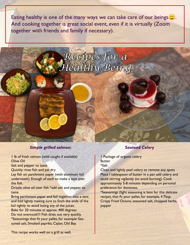Eating healthy is one of the many ways we can take care of our beings $\circled{c}$ . And cooking together is great social event, even if it is virtually (Zoom together with friends and family if necessary).

*Recipes for a*

*Healthy Being*

#### *Simple grilled salmon:*

1 lb of fresh salmon (wild caught if available) Olive Oil

Salt and pepper to taste

Quickly rinse fish and pat dry

Lay fish on parchment paper (with aluminum foil underneath). Enough of each to make a tent over the fish.

Drizzle olive oil over fish \*add salt and pepper to taste.

Bring parchment paper and foil together into a tent and fold lightly making sure to finch the ends of the foil tightly to avoid losing any of the juices. Bake for 20 minutes at approx. 400 degrees Do not overcook!!! Fish dries out very quickly. \*Seasonings that fit your pallet, for example: Seasoned salt, Smoked paprika, Cajian, Old Bay.

#### *Sauteed Celery*

1 Package of organic celery Butter \*Salt

Clean and lightly peel celery to remove any spots Place I tablespoon of butter in a pan add celery and sauté stirring vigilantly (to avoid burning). Cook approximately 5-8 minutes depending on personal preference for doneness.

\*Seasonings (light seasoning is best for this delicate recipe), that fit your pallet, for example, 4 Tbsp. Crispy Fried Onions, seasoned salt, chopped herbs, pepper

This recipe works well on a grill as well.